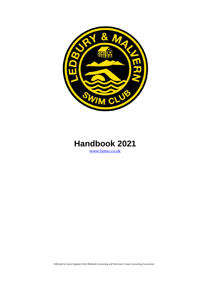



Affiliated to Swim England, West Midlands Swimming and Worcester County Swimming Association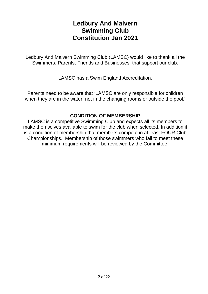# **Ledbury And Malvern Swimming Club Constitution Jan 2021**

Ledbury And Malvern Swimming Club (LAMSC) would like to thank all the Swimmers, Parents, Friends and Businesses, that support our club.

LAMSC has a Swim England Accreditation.

Parents need to be aware that 'LAMSC are only responsible for children when they are in the water, not in the changing rooms or outside the pool.'

# **CONDITION OF MEMBERSHIP**

LAMSC is a competitive Swimming Club and expects all its members to make themselves available to swim for the club when selected. In addition it is a condition of membership that members compete in at least FOUR Club Championships. Membership of those swimmers who fail to meet these minimum requirements will be reviewed by the Committee.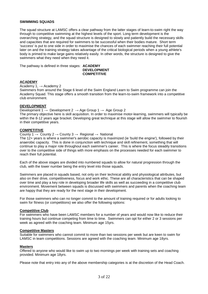#### **SWIMMING SQUADS**

The squad structure at LAMSC offers a clear pathway from the latter stages of learn-to-swim right the way through to competitive swimming at the highest levels of the sport. Long term development is the overarching strategy, and the squad structure is designed to slowly and patiently build the necessary skills and capacities that are required for swimmers to be successful when their bodies mature. Short term 'success' is put to one side in order to maximise the chances of each swimmer reaching their full potential later on and the training strategy takes advantage of the critical biological periods when a young athlete's body is primed to make large gains relatively easily. In other words, the structure is designed to give the swimmers what they need when they need it.

The pathway is defined in three stages: **ACADEMY**

#### **DEVELOPMENT COMPETITIVE**

#### **ACADEMY**

#### Academy 1,  $\rightarrow$  Academy 2

Swimmers from around the Stage 6 level of the Swim England Learn to Swim programme can join the Academy Squad. This stage offers a smooth transition from the learn-to-swim framework into a competitive club environment.

# **DEVELOPMENT**

Development 1  $\rightarrow$  Development 2  $\rightarrow$  Age Group 1  $\rightarrow$  Age Group 2 The primary objective here is skill acquisition. In order to maximise motor-learning, swimmers will typically be within the 8-12 years age bracket. Developing great technique at this stage will allow the swimmer to flourish in their competitive years.

## **COMPETITIVE**

County 1  $\rightarrow$  County 2  $\rightarrow$  County 3  $\rightarrow$  Regional  $\rightarrow$  National

The 12+ years is where a swimmer's aerobic capacity is maximized (ie 'build the engine'), followed by their anaerobic capacity. This is done in conjunction with technique and skill refinement, something that will continue to play a major role throughout each swimmer's career. This is where the focus steadily transitions over to the competitive side of things with more emphasis on the processes needed for each swimmer to reach their full potential.

Each of the above stages are divided into numbered squads to allow for natural progression through the club, with the lower number being the entry level into those squads.

Swimmers are placed in squads based, not only on their technical ability and physiological attributes, but also on their drive, competitiveness, focus and work ethic. These are all characteristics that can be shaped over time and play a key role in developing broader life skills as well as succeeding in a competitive club environment. Movement between squads is discussed with swimmers and parents when the coaching team are happy that they are ready for the next stage in their development.

For those swimmers who can no longer commit to the amount of training required or for adults looking to swim for fitness (or competitions) we also offer the following options:

#### **Competitive Club**

For swimmers who have been LAMSC members for a number of years and would now like to reduce their training hours but continue competing from time to time. Swimmers can opt for either 2 or 3 sessions per week as agreed with the coaching team. Minimum age 15yrs.

#### **Competitive Masters**

Suitable for swimmers who cannot commit to more than two sessions per week but are keen to swim for LAMSC in team competitions. Sessions are agreed with the coaching team. Minimum age 18yrs.

#### **Masters**

Offered to anyone who would like to swim up to two mornings per week with training sets and coaching provided. Minimum age 18yrs.

Please note that entry into any of the above membership categories is at the discretion of the Head Coach.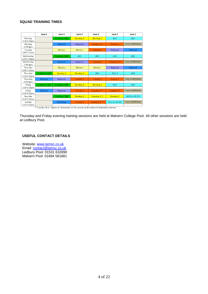# **SQUAD TRAINING TIMES**

|                  | Lane 6          | Lane 5               | Lane 4               | Lane <sub>3</sub>    | Lane <sub>2</sub> | Lane 1                       |
|------------------|-----------------|----------------------|----------------------|----------------------|-------------------|------------------------------|
| Monday           |                 | Academy 2 (A)        | Develop 1            | Develop 2            | AG1               | AG2                          |
| 5:30-6.30pm      |                 |                      |                      |                      |                   |                              |
| Monday           |                 | National             | Regional             | County $3/2$         | County 1          | <b>Comp Club&amp;Masters</b> |
| $6:30-8pm$       |                 |                      |                      |                      |                   |                              |
| Tuesdav          |                 | <b>Masters</b>       | <b>Masters</b>       | County 3             | Regional          | <b>National</b>              |
| $6:00 - 7:15$ am |                 |                      |                      |                      |                   |                              |
| Wednesday        |                 | Academy 2 (B)        | AG1                  | AG1                  | AG2               | AG <sub>2</sub>              |
| 6:30-7:30pm      |                 |                      |                      |                      |                   |                              |
| Wednesday        |                 | <b>National</b>      | Regional             | County 3             | County 2 / 1      | <b>Comp Club&amp;Masters</b> |
| $7:30-9pm$       |                 |                      |                      |                      |                   |                              |
| Thursday         |                 | <b>Masters</b>       | <b>Masters</b>       | <b>Masters</b>       | Regional          | <b>National</b>              |
| $6:00-7:15am$    |                 |                      |                      |                      |                   |                              |
| Thursday         | Academy 2 (A)   | Develop <sub>1</sub> | Develop 2            | AG1                  | $AG1-2$           | AG <sub>2</sub>              |
| 5:30-6.30pm      |                 |                      |                      |                      |                   |                              |
| Thursdav         | <b>National</b> | Regional             | County 3             | County 2             | County 1          | <b>Comp Club&amp;Masters</b> |
| 6:30-8pm         |                 |                      |                      |                      |                   |                              |
| Fridav           | Academy 1 (A)   | Academy 2 (B)        | Develop <sub>1</sub> | Develop <sub>2</sub> | AG1               | AG2                          |
| 5:30-6:30pm      |                 |                      |                      |                      |                   |                              |
| Friday           | <b>National</b> | Regional             | County 3             | County 2 **          | County 1 **       | <b>Comp Club&amp;Masters</b> |
| 6:30-8:30pm      |                 |                      |                      |                      |                   |                              |
| Saturday         |                 | Academy 1 (B)        | Develop 1            | Develop 1-2          | Develop 2         | AG1 (to 09:25)               |
| 8:30-9:30am      |                 |                      |                      |                      |                   |                              |
| Sundav           |                 | Nats/Regs            | County 3             | County 2/1 **        | AG2 (to 16:40)    | <b>Comp Club&amp;Masters</b> |
| $3:15-5:15$ pm   |                 |                      |                      |                      |                   |                              |

\*\* County 1 & 2: Option of 90 minutes or 2hr session at discretion of individual swimmer

Thursday and Friday evening training sessions are held at Malvern College Pool. All other sessions are held at Ledbury Pool.

# **USEFUL CONTACT DETAILS**

Website: [www.lamsc.co.uk](http://www.lamsc.co.uk/) Email: [contact@lamsc.co.uk](mailto:contact@lamsc.co.uk) Ledbury Pool: 01531 632890 Malvern Pool: 01684 581681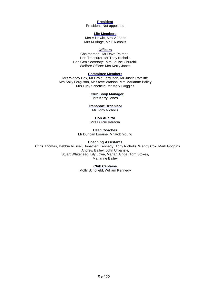**President** President: Not appointed

**Life Members**

Mrs V Hewitt, Mrs V Jones Mrs M Ainge, Mr T Nicholls

#### **Officers**

Chairperson: Mr Dave Palmer Hon Treasurer: Mr Tony Nicholls Hon Gen Secretary: Mrs Louise Churchill Welfare Officer: Mrs Kerry Jones

#### **Committee Members**

Mrs Wendy Cox, Mr Craig Ferguson, Mr Justin Ratcliffe Mrs Sally Ferguson, Mr Steve Watson, Mrs Marianne Bailey Mrs Lucy Schofield, Mr Mark Goggins

#### **Club Shop Manager**

Mrs Kerry Jones

## **Transport Organisor**

Mr Tony Nicholls

#### **Hon Auditor**

Mrs Dulcie Karadia

**Head Coaches** Mr Duncan Loraine, Mr Rob Young

#### **Coaching Assistants**

 Chris Thomas, Debbie Russell, Jonathan Kennedy, Tony Nicholls, Wendy Cox, Mark Goggins Andrew Bailey, John Urbanski, Stuart Whitehead, Lily Lowe, Marian Ainge, Tom Stokes, Marianne Bailey

#### **Club Captains**

Molly Schofield, William Kennedy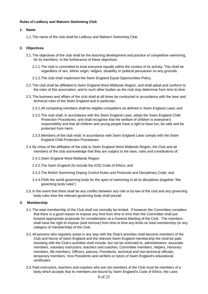## **Rules of Ledbury and Malvern Swimming Club**

# **1. Name**

1.1.The name of the club shall be Ledbury and Malvern Swimming Club.

# **2. Objectives**

- 2.1.The objectives of the club shall be the teaching development and practice of competitive swimming, for its members. In the furtherance of these objectives:
	- 2.1.1.The club is committed to treat everyone equally within the context of its activity. This shall be regardless of sex, ethnic origin, religion, disability or political persuasion on any grounds.
	- 2.1.2.The club shall implement the Swim England Equal Opportunities Policy.
- 2.2.The club shall be affiliated to Swim England West Midlands Region, and shall adopt and conform to the rules of this association, and to such other bodies as the club may determine from time to time
- 2.3.The business and affairs of the club shall at all times be conducted in accordance with the laws and technical rules of the Swim England and in particular:
	- 2.3.1.All competing members shall be eligible competitors as defined in Swim England Laws; and
	- 2.3.2.The club shall, in accordance with the Swim England Laws, adopt the Swim England Child Protection Procedures: and shall recognise that the welfare of children is everyone's responsibility and that all children and young people have a right to have fun, be safe and be protected from harm.
	- 2.3.3.Members of the club shall, in accordance with Swim England Laws comply with the Swim England Child Protection Procedures.
- 2.4.By virtue of the affiliation of the club to Swim England West Midlands Region, the Club and all members of the club acknowledge that they are subject to the laws, rules and constitutions of:
	- 2.4.1.Swim England West Midlands Region
	- 2.4.2.The Swim England (to include the IOS) Code of Ethics; and
	- 2.4.3.The British Swimming Doping Control Rules and Protocols and Disciplinary Code; and
	- 2.4.4.FINA the world governing body for the sport of swimming in all its disciplines (together "the governing body rules")
- 2.5. In the event that there shall be any conflict between any rule or by-law of the club and any governing body rules then the relevant governing body shall prevail.

## **3. Membership**

- 3.1.The total membership of the Club shall not normally be limited. If however the Committee considers that there is a good reason to impose any limit from time to time then the Committee shall put forward appropriate proposals for consideration at a General Meeting of the Club. The members shall have the right to impose (and remove) from time to time any limits on total membership (or any category of membership) of the Club.
- 3.2.All persons who regularly assist in any way with the Club's activities shall become members of the Club and hence of Swim England and the relevant Swim England membership fee shall be paid. Assisting with the Club's activities shall include, but not be restricted to, administrators, associate members, voluntary instructors, teachers and coaches, Committee members, helpers, Honorary members, life members, Officers, patrons, Presidents, technical and non-technical officials, temporary members, Vice Presidents and verifiers or tutors of Swim England's educational certificates.
- 3.3.Paid instructors, teachers and coaches who are not members of the Club must be members of a body which accepts that its members are bound by Swim England's Code of Ethics, the Laws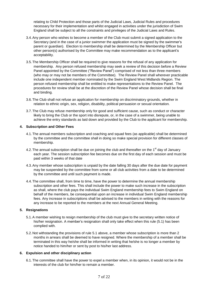relating to Child Protection and those parts of the Judicial Laws, Judicial Rules and procedures necessary for their implementation and whilst engaged in activities under the jurisdiction of Swim England shall be subject to all the constraints and privileges of the Judicial Laws and Rules.

- 3.4.Any person who wishes to become a member of the Club must submit a signed application to the Secretary (and in the case of a junior swimmer the application must be signed by the swimmer's parent or guardian). Election to membership shall be determined by the Membership Officer but other person(s) authorised by the Committee may make recommendation as to the applicant's acceptability.
- 3.5.The Membership Officer shall be required to give reasons for the refusal of any application for membership. Any person refused membership may seek a review of this decision before a Review Panel appointed by the Committee ("Review Panel") comprised of not less than three members (who may or may not be members of the Committee). The Review Panel shall wherever practicable include one independent member nominated by the Swim England West Midlands Region. The person refused membership shall be entitled to make representations to the Review Panel. The procedures for review shall be at the discretion of the Review Panel whose decision shall be final and binding.
- 3.6.The Club shall not refuse an application for membership on discriminatory grounds, whether in relation to ethnic origin, sex, religion, disability, political persuasion or sexual orientation.
- 3.7.The Club may refuse membership only for good and sufficient cause, such as conduct or character likely to bring the Club or the sport into disrepute, or, in the case of a swimmer, being unable to achieve the entry standards as laid down and provided by the Club to the applicant for membership.

# **4. Subscription and Other Fees**

- 4.1.The annual members subscription and coaching and squad fees (as applicable) shall be determined by the committee and the committee shall in doing so make special provision for different classes of membership.
- 4.2. The annual subscription shall be due on joining the club and thereafter on the 1<sup>st</sup> day of January each year. The session subscription fee becomes due on the first day of each session and must be paid within 3 weeks of that date
- 4.3.Any member whose subscription is unpaid by the date falling 30 days after the due date for payment may be suspended by the committee from some or all club activities from a date to be determined by the committee and until such payment is made.
- 4.4.The committee shall, from time to time, have the power to determine the annual membership subscription and other fees. This shall include the power to make such increase in the subscription as shall, where the club pays the individual Swim England membership fees to Swim England on behalf of the members, be consequential upon an increase in individual Swim England membership fees. Any increase in subscriptions shall be advised to the members in writing with the reasons for any increase to be reported to the members at the next Annual General Meeting.

## **5. Resignations**

- 5.1.A member wishing to resign membership of the club must give to the secretary written notice of his/her resignation. A member's resignation shall only take effect when this rule (5.1) has been complied with.
- 5.2. Not withstanding the provisions of rule 5.1 above, a member whose subscription is more than 2 months in arrears shall be deemed to have resigned. Where the membership of a member shall be terminated in this way he/she shall be informed in writing that he/she is no longer a member by notice handed to him/her or sent by post to his/her last address.

# **6. Expulsion and other disciplinary action**

6.1.The committee shall have the power to expel a member when, in its opinion, it would not be in the interests of the club for him/her to remain a member.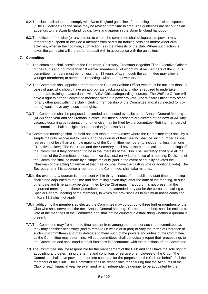- 6.2.The club shall adopt and comply with Swim England guidelines for handling internal club disputes ("The Guidelines") as the same may be revised from time to time. The guidelines are set out as an appendix to the Swim England judicial laws and appear in the Swim England handbook
- 6.3.The officers of the club (or any person to whom the committee shall delegate this power) may temporarily suspend or exclude a member from particular training sessions and/or wider club activities, when in their opinion; such action is in the interests of the club. Where such action is taken the complaint will thereafter be dealt with in accordance with the guidelines.

# **7. Committee**

- 7.1.The committee shall consist of the Chairman, Secretary, Treasurer (together "The Executive Officers of the Club") and not more than 10 elected members all of whom must be members of the club. All committee members must be not less than 18 years of age though the committee may allow a younger member(s) to attend their meetings without the power to vote.
- 7.2.The Committee shall appoint a member of the Club as Welfare Officer who must be not less than 18 years of age, who should have an appropriate background and who is required to undertake appropriate training in accordance with A.S.A Child safeguarding courses. The Welfare Officer will have a right to attend Committee meetings without a power to vote. The Welfare Officer may stand for any other post within the club including membership of the Committee and, if so elected (or coopted) would have any associated rights.
- 7.3.The Committee shall be proposed, seconded and elected by ballot at the Annual General Meeting (AGM) each year and shall remain in office until their successors are elected at the next AGM. Any vacancy occurring by resignation or otherwise may be filled by the committee. Retiring members of the committee shall be eligible for re-election (see also 8.1)
- 7.4. Committee meetings shall be held not less than quarterly (save where the Committee itself shall by a simple majority resolve not to meet), and the quorum of that meeting shall be such number as shall represent not less than a simple majority of the Committee members (to include not less than one Executive Officer). The Chairman and the Secretary shall have discretion to call further meetings of the Committee if they consider it to be in the interests of the Club. The Secretary shall give all the members of the Committee not less than two days oral (or written) notice of a meeting. Decisions of the Committee shall be made by a simple majority (and in the event of equality of votes the Chairman or the acting Chairman at that meeting shall have the casting vote or additional vote). The Secretary, or in his absence a member of the Committee, shall take minutes.
- 7.5. In the event that a quorum is not present within thirty minutes of the published start time, a meeting shall stand adjourned to the time and date falling seven days after the date of the meeting, or such other date and time as may be determined by the Chairman. If a quorum is not present at the adjourned meeting then those Committee members attended may act for the purpose of calling a Special General Meeting of the members, to which the provisions as to minimum notice contained in Rule 11.1 shall not apply.
- 7.6. In addition to the members so elected the Committee may co-opt up to three further members of the Club who shall serve until the next Annual General Meeting. Co-opted members shall be entitled to vote at the meetings of the Committee and shall not be counted in establishing whether a quorum is present.
- 7.7.The Committee may from time to time appoint from among their number such sub-committees as they may consider necessary (and to remove (in whole or in part) or vary the terms of reference of such sub-committees) and may delegate to them such of the powers and duties of the Committee as the Committee may determine. All sub-committees shall periodically report their proceedings to the Committee and shall conduct their business in accordance with the directions of the Committee.
- 7.8.The Committee shall be responsible for the management of the Club and shall have the sole right of appointing and determining the terms and conditions of service of employees of the Club. The Committee shall have power to enter into contracts for the purposes of the Club on behalf of all the members of the Club. The Committee shall be responsible for ensuring that the Accounts of the Club for each financial year be examined by an independent examiner to be appointed by the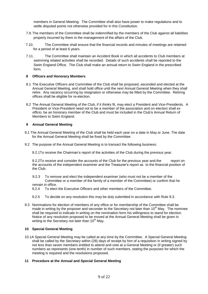members in General Meeting. The Committee shall also have power to make regulations and to settle disputed points not otherwise provided for in this Constitution.

- 7.9. The members of the Committee shall be indemnified by the members of the Club against all liabilities properly incurred by them in the management of the affairs of the Club.
- 7.10. The Committee shall ensure that the financial records and minutes of meetings are retained for a period of at least 6 years.
- 7.11. The Committee shall maintain an Accident Book in which all accidents to Club members at swimming related activities shall be recorded. Details of such accidents shall be reported to the Swim England Office. The Club shall make an annual return to Swim England in the prescribed form.

#### **8 Officers and Honorary Members**

- 8.1 The Executive Officers and Committee of the Club shall be proposed, seconded and elected at the Annual General Meeting, and shall hold office until the next Annual General Meeting when they shall retire. Any vacancy occurring by resignation or otherwise may be filled by the Committee. Retiring offices shall be eligible for re-election.
- 8.2 The Annual General Meeting of the Club, if it thinks fit, may elect a President and Vice-Presidents. A President or Vice-President need not to be a member of the association and on election shall *ex officio*, be an honorary member of the Club and must be included in the Club's Annual Return of Members to Swim England.

#### **9 Annual General Meeting**

- 9.1 The Annual General Meeting of the Club shall be held each year on a date in May or June. The date for the Annual General Meeting shall be fixed by the Committee.
- 9.2 The purpose of the Annual General Meeting is to transact the following business:

9.2.1To receive the Chairman's report of the activities of the Club during the previous year.

9.2.2To receive and consider the accounts of the Club for the previous year and the report on the accounts of the independent examiner and the Treasurer's report as to the financial position of the Club.

- 9.2.3 To remove and elect the independent examiner (who must not be a member of the Committee or a member of the family of a member of the Committee) or confirm that he remain in office.
- 9.2.4 To elect the Executive Officers and other members of the Committee.
- 9.2.5 To decide on any resolution this may be duly submitted in accordance with Rule 9.3.
- 9.3 Nominations for election of members of any office or for membership of the Committee shall be made in writing by the proposer and seconder to the Secretary not later than  $10<sup>th</sup>$  May. The nominee shall be required to indicate in writing on the nomination form his willingness to stand for election. Notice of any resolution proposed to be moved at the Annual General Meeting shall be given in writing to the Secretary not later than 10<sup>th</sup> May.

#### **10 Special General Meeting**

10.1A Special General Meeting may be called at any time by the Committee. A Special General Meeting shall be called by the Secretary within (28) days of receipt by him of a requisition in writing signed by not less than seven members entitled to attend and vote at a General Meeting or (if greater) such numbers as represents (one-tenth) in number of such members, stating the purposes for which the meeting is required and the resolutions proposed.

#### **11 Procedure at the Annual and Special General Meeting**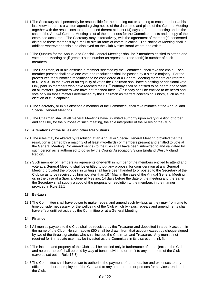- 11.1 The Secretary shall personally be responsible for the handing out or sending to each member at his last known address a written agenda giving notice of the date, time and place of the General Meeting together with the resolutions to be proposed thereat at least (14) days before the meeting and in the case of the Annual General Meeting a list of the nominees for the Committee posts and a copy of the examined accounts. The Secretary may, alternatively, with the agreement of member(s) concerned distribute these materials by e-mail or similar form of communication. The Notice of Meeting shall in addition wherever possible be displayed on the Club Notice Board where one exists.
- 11.2 The Quorum for the Annual and Special General Meetings shall be 7 members entitled to attend and vote at the Meeting or (if greater) such number as represents (one-tenth) in number of such members.
- 11.3 The Chairman, or in his absence a member selected by the Committee, shall take the chair. Each member present shall have one vote and resolutions shall be passed by a simple majority. For the procedures for submitting resolutions to be considered at a General Meeting members are referred to Rule 9.3. In the event of an equality of votes the Chairman shall have a casting or additional vote. Only paid up members who have reached their 16<sup>th</sup> birthday shall be entitled to be heard and to vote on all matters. (Members who have not reached their 16<sup>th</sup> birthday shall be entitled to be heard and vote only on those matters determined by the Chairman as matters concerning juniors, such as the election of club captains).
- 11.4 The Secretary, or in his absence a member of the Committee, shall take minutes at the Annual and Special General Meetings.
- 11.5 The Chairman shall at all General Meetings have unlimited authority upon every question of order and shall be, for the purpose of such meeting, the sole interpreter of the Rules of the Club.

#### **12 Alterations of the Rules and other Resolutions**

- 12.1 The rules may be altered by resolution at an Annual or Special General Meeting provided that the resolution is carried by a majority of at least (two-thirds) of members present and entitled to vote at the General Meeting. No amendment(s) to the rules shall have been submitted to and validated by such person as is authorised to do so by the County Association/ Swim England West Midland Region.
- 12.2 Such member of members as represents one-tenth in number of the members entitled to attend and vote at a General Meeting shall be entitled to put any proposal for consideration at any General Meeting provided the proposal in writing shall have been handed to or posted to the Secretary of the Club so as to be received by him not later than 10<sup>th</sup> May in the case of the Annual General Meeting or, in the case of a Special General Meeting, 14 days before the date of the meeting and thereafter the Secretary shall supply a copy of the proposal or resolution to the members in the manner provided in Rule 11.1

#### **13 By-Laws**

13.1 The Committee shall have power to make, repeal and amend such by-laws as they may from time to time consider necessary for the wellbeing of the Club which by-laws, repeals and amendments shall have effect until set aside by the Committee or at a General Meeting.

## **14 Finance**

- 14.1 All monies payable to the Club shall be received by the Treasurer and deposited in a bank account in the name of the Club. No sum above £50 shall be drawn from that account except by cheque signed by two of the three signatories who shall include the Chairman and Treasurer. Any monies not required for immediate use may be invested as the Committee in its discretion think fit.
- 14.2 The income and property of the Club shall be applied only in furtherance of the objects of the Club and no part thereof shall be paid by way of bonus, dividend or profit to any members of the Club (save as set out in Rule 15.3).
- 14.3 The Committee shall have power to authorise the payment of remuneration and expenses to any officer, member or employee of the Club and to any other person or persons for services rendered to the Club.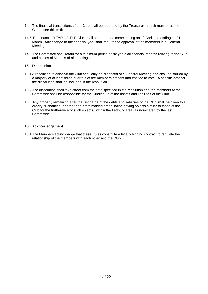- 14.4 The financial transactions of the Club shall be recorded by the Treasurer in such manner as the Committee thinks fit.
- 14.5 The financial YEAR OF THE Club shall be the period commencing on  $1<sup>st</sup>$  April and ending on 31 $<sup>st</sup>$ </sup> March. Any change to the financial year shall require the approval of the members in a General Meeting.
- 14.6 The Committee shall retain for a minimum period of six years all financial records relating to the Club and copies of Minutes of all meetings.

## **15 Dissolution**

- 15.1 A resolution to dissolve the Club shall only be proposed at a General Meeting and shall be carried by a majority of at least three-quarters of the members present and entitled to vote. A specific date for the dissolution shall be included in the resolution.
- 15.2 The dissolution shall take effect from the date specified in the resolution and the members of the Committee shall be responsible for the winding up of the assets and liabilities of the Club.
- 15.3 Any property remaining after the discharge of the debts and liabilities of the Club shall be given to a charity or charities (or other non-profit making organisation having objects similar to those of the Club for the furtherance of such objects), within the Ledbury area, as nominated by the last Committee.

#### **15 Acknowledgement**

15.1 The Members acknowledge that these Rules constitute a legally binding contract to regulate the relationship of the members with each other and the Club.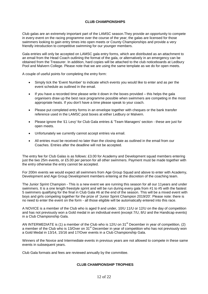## **CLUB CHAMPIONSHIPS**

Club galas are an extremely important part of the LAMSC season.They provide an opportunity to compete in every event on the racing programme over the course of the year; the galas are licensed for those swimmers looking to gain entry times into open meets or County Championships and provide a very friendly introduction to competitive swimming for our younger members.

Gala entries will only be accepted on LAMSC gala entry forms, which are distributed as an attachment to an email from the Head Coach outlining the format of the gala, or alternatively in an emergency can be obtained from the Treasurer. In addition, hard copies will be attached to the club noticeboards at Ledbury Pool and Malvern College. Please note that we are using the same template as we do for open meets.

A couple of useful points for completing the entry form:

- Simply tick the 'Event Number' to indicate which events you would like to enter and as per the event schedule as outlined in the email.
- If you have a recorded time please write it down in the boxes provided this helps the gala organisers draw up the best race programme possible when swimmers are competing in the most appropriate heats. If you don't have a time please speak to your coach.
- Please put completed entry forms in an envelope together with cheques or the bank transfer reference used in the LAMSC post boxes at either Ledbury or Malvern.
- Please ignore the '£1 Levy' for Club Gala entries & 'Team Managers' section these are just for open meets.
- Unfortunately we currently cannot accept entries via email.
- All entries must be received no later than the closing date as outlined in the email from our Coaches. Entries after the deadline will not be accepted.

The entry fee for Club Galas is as follows: £3.00 for Academy and Development squad members entering just the two 25m events, or £5.00 per person for all other swimmers. Payment must be made together with the entry otherwise the entry cannot be accepted.

For 200m events we would expect all swimmers from Age Group Squad and above to enter with Academy, Development and Age Group Development members entering at the discretion of the coaching team.

The Junior Sprint Champion - This is a new event we are running this season for all our 11years and under swimmers. It is a one length freestyle sprint and will be run during every gala from #1 to #5 with the fastest 5 swimmers qualifying for the final in Club Gala #6 at the end of the season. This will be a mixed event with boys and girls competing together for the prize of 'Junior Sprint Champion 2019/20'. Please note: there is no need to enter the event on the form - all those eligible will be automatically entered into this race.

A NOVICE is a member of the Club who is aged 9 and under, 10/U 11/U or 12/U on the day of competition and has not previously won a Gold medal in an individual event (except 7/U, 8/U and the Handicap events) in a Club Championship Gala.

AN INTERMEDIATE is (1) a member of the Club who is 12/U on  $31<sup>st</sup>$  December in year of competition. (2) a member of the Club who is 13/Over on 31<sup>st</sup> December in year of competition who has not previously won a Gold Medal in 13/14, 15/16 and 17/Over events in a Club Championship Gala.

Winners of the Novice and Intermediate events in previous years are not allowed to compete in these same events in subsequent years.

Club Gala formats and fees are reviewed annually by the committee.

## **CLUB CHAMPIONSHIP TROPHIES**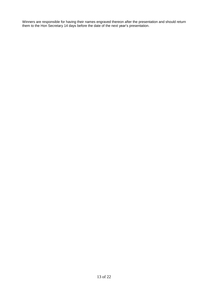Winners are responsible for having their names engraved thereon after the presentation and should return them to the Hon Secretary 14 days before the date of the next year's presentation.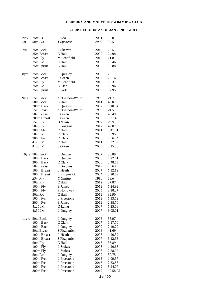# **LEDBURY AND MALVERN SWIMMING CLUB**

## **CLUB RECORDS AS OF JAN 2020 – GIRLS**

| <b>Nov</b> | 25mF/s               | R Lea           | 2001 | 16.0     |
|------------|----------------------|-----------------|------|----------|
| Int        | $50m$ F/s            | T Spencer       | 2000 | 32.5     |
|            |                      |                 |      |          |
| 7/u        | 25m Back             | S Skerrett      | 2016 | 22.51    |
|            | 25m Breast           | C Hall          | 2009 | 24.98    |
|            | 25m Fly              | M Schofield     | 2012 | 21.81    |
|            | $25m$ F/c            | C Hall          | 2009 | 18.46    |
|            | 25m Sprint           | C Hall          | 2009 | 18.88    |
| 8yrs       | 25m Back             | L Quigley       | 2006 | 20.11    |
|            | 25m Breast           | S Green         | 2007 | 22.16    |
|            |                      | M Schofield     | 2013 |          |
|            | 25m Fly<br>$25m$ F/c | C Clark         | 2003 | 18.37    |
|            |                      |                 |      | 16.96    |
|            | 25m Sprint           | P Park          | 2009 | 17.95    |
| 9yrs       | 25m Back             | A Brandon-White | 1993 | 21.7     |
|            | 50m Back             | C Hall          | 2011 | 42.07    |
|            | 200m Back            | L Quigley       | 2007 | 3.10.34  |
|            | 25m Breast           | A Brandon-White | 1993 | 24.5     |
|            | 50m Breast           | S Green         | 2009 | 46.49    |
|            | 200m Breast          | S Green         | 2008 | 3.31.45  |
|            | $25m$ Fly            | H Smith         | 1997 | 20.9     |
|            | 50m Fly              | E Goggins       | 2017 | 42.07    |
|            | 200m Fly             | C Hall          | 2011 | 3.41.01  |
|            | $50m$ F/c            | C Clark         | 2005 | 35.95    |
|            | $200m$ F/c           | C Clark         | 2005 | 2.56.04  |
|            | 4x25 IM              | C Hall          | 2011 | 1.32.09  |
|            | 4x50 IM              | S Green         | 2008 | 3.15.30  |
|            |                      |                 |      |          |
| 10yrs      | 50m Back             | L Quigley       | 2007 | 38.89    |
|            | 100m Back            | L Quigley       | 2008 | 1.22.61  |
|            | 200m Back            | C Clark         | 2006 | 2.48.53  |
|            | 50m Breast           | E Goggins       | 2019 | 43.63    |
|            | 100m Breast          | L Heath         | 2007 | 1.32.12  |
|            | 200m Breast          | E Fitzpatrick   | 2004 | 3.20.69  |
|            | $25m$ Fly            | C Gilfillan     | 1990 | 19.6     |
|            | 50m Fly              | C Hall          | 2012 | 37.87    |
|            | 100m Fly             | E James         | 2012 | 1.24.92  |
|            | 200m Fly             | P Holloway      | 2005 | 3.18.27  |
|            | $50m$ F/c            | C Hall          | 2012 | 32.90    |
|            | 100m F/c             | L Freestone     | 2012 | 1.13.52  |
|            | 200m F/c             | E James         | 2012 | 2.38.70  |
|            | $4x25$ IM            | G Laing         | 2007 | 1.25.68  |
|            | 4x50 IM              | L Quigley       | 2007 | 3.05.01  |
|            |                      |                 |      |          |
| 11yrs      | 50m Back             | L Quigley       | 2008 | 36.97    |
|            | 100m Back            | C Clark         | 2007 | 1.17.70  |
|            | 200m Back            | L Quigley       | 2009 | 2.49.29  |
|            | 50m Breast           | S Fitzpatrick   | 2008 | 41.69    |
|            | 100m Breast          | L Heath         | 2008 | 1.29.32  |
|            | 200m Breast          | S Fitzpatrick   | 2007 | 3.12.33  |
|            | 50m Fly              | C Hall          | 2013 | 35.89    |
|            | 100m Fly             | L Stokes        | 2006 | 1.20.66  |
|            | 200m Fly             | L Stokes        | 2006 | 2.58.97  |
|            | 50m F/c              | L Quigley       | 2009 | 30.75    |
|            | $100m$ F/c           | L Freestone     | 2013 | 1.09.37  |
|            | 200m F/c             | L Freestone     | 2013 | 2.33.53  |
|            | $400m$ F/c           | L Freestone     | 2012 | 5.24.77  |
|            | 800m F/c             | L Freestone     | 2012 | 10.58.95 |
|            |                      |                 |      |          |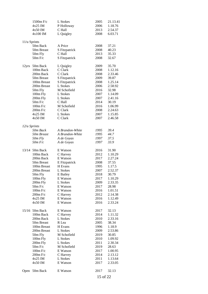|              | 1500m F/c      | L Stokes        | 2005     | 21.13.41 |
|--------------|----------------|-----------------|----------|----------|
|              | $4x25$ IM      | P Holloway      | 2006     | 1.18.76  |
|              | 4x50 IM        | C Hall          | 2013     | 2.54.37  |
|              | 4x100 IM       | L Quigley       | 2008     | 6.03.71  |
|              |                |                 |          |          |
| 11/u Sprints |                |                 |          |          |
|              | 50m Back       | A Price         | 2008     | 37.21    |
|              | 50m Breast     | S Fitzpatrick   | 2008     | 40.23    |
|              | 50m Fly        | C Hall          | 2013     | 35.33    |
|              | $50m$ F/c      | S Fitzpatrick   | 2008     | 32.67    |
| 12yrs        | 50m Back       | L Quigley       | 2009     | 35.70    |
|              | 100m Back      | C Clark         | 2008     | 1.12.16  |
|              | 200m Back      | C Clark         | 2008     | 2.33.46  |
|              | 50m Breast     | S Fitzpatrick   | 2009     | 39.87    |
|              | 100m Breast    | S Fitzpatrick   | 2008     | 1.25.14  |
|              | 200m Breast    | L Stokes        | 2006     | 2.58.92  |
|              | 50m Fly        | M Schofield     | 2016     | 32.98    |
|              | 100m Fly       | L Stokes        | 2007     | 1.14.09  |
|              |                |                 |          |          |
|              | 200m Fly       | L Stokes        | 2007     | 2.41.16  |
|              | $50m$ F/c      | C Hall          | 2014     | 30.19    |
|              | $100m$ F/c     | M Schofield     | 2016     | 1.06.99  |
|              | $200m$ F/c     | C Clark         | 2008     | 2.24.63  |
|              | 4x25 IM        | L Stokes        | 2007     | 1.15.85  |
|              | 4x50 IM        | C Clark         | 2007     | 2.46.58  |
| 12/u Sprints |                |                 |          |          |
|              | 50m Back       | A Brandon-White | 1995     | 39.4     |
|              | 50m Breast     | A Brandon-White | 1995     | 44.7     |
|              | 50m Fly        | A de Goyas      | 1997     | 37.5     |
|              | $50m$ $F/c$    | A de Goyas      | 1997     | 33.9     |
|              |                |                 |          |          |
|              | 13/14 50m Back | E Watson        | 2016     | 31.90    |
|              | 100m Back      | C Harvey        | 2012     | 1.10.29  |
|              | 200m Back      | E Watson        | 2017     | 2.27.24  |
|              | 50m Breast     | E Fitzpatrick   | 2008     | 37.55    |
|              | 100m Breast    | H Evans         | 1995     | 1.17.5   |
|              | 200m Breast    | L Stokes        | 2007     | 2.52.37  |
|              | 50m Fly        | E Bailey        | 2018     | 30.79    |
|              | 100m Fly       | E Watson        | 2017     | 1.10.29  |
|              | 200m Fly       | L Stokes        | 2009     | 2.33.35  |
|              | $50m$ F/c      | E Watson        | 2017     | 28.98    |
|              | $100m$ F/c     | E Watson        | 2016     | 1.01.51  |
|              | $200m$ F/c     | C Harvey        | 2012     | 2.14.38  |
|              | 4x25 IM        | E Watson        | 2016     | 1.12.49  |
|              | 4x50 IM        | E Watson        | 2016     | 2.33.24  |
|              |                |                 |          |          |
|              | 15/16 50m Back | E Watson        | 2017     | 32.13    |
|              | 100m Back      | C Harvey        | 2014     | 1.11.32  |
|              | 200m Back      | L Stokes        | 2010     | 2.33.16  |
|              | 50m Breast     | R Lea           | 2005     | 38.34    |
|              | 100m Breast    | H Evans         | 1996     | 1.18.9   |
|              | 200m Breast    | L Stokes        | 2009     | 2.53.86  |
|              | 50m Fly        | M Schofield     | 2019     | 30.85    |
|              | 100m Fly       | L Stokes        | 2010     | 1.09.92  |
|              | 200m Fly       | L Stokes        | 2011     | 2.30.34  |
|              | $50m$ F/c      | M Schofield     | 2019     | 28.63    |
|              | $100m$ F/c     | E Watson        | 2017     | 1.00.95  |
|              | $200m$ F/c     | C Harvey        | 2014     | 2.13.12  |
|              | 4x25 IM        | L Stokes        | 2011     | 1.13.64  |
|              | 4x50 IM        | E Watson        | 2017     | 2.33.05  |
|              |                |                 |          |          |
| Open         | 50m Back       | E Watson        | 2017     | 32.13    |
|              |                |                 | 15 of 22 |          |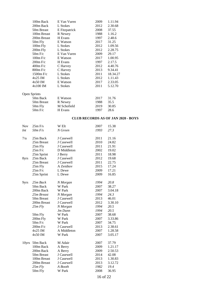| 100m Back    | E Van Vuren   | 2009 | 1.11.94  |
|--------------|---------------|------|----------|
| 200m Back    | L Stokes      | 2012 | 2.30.68  |
| 50m Breast   | E Fitzpatrick | 2008 | 37.55    |
| 100m Breast  | R Newey       | 1988 | 1.16.2   |
| 200m Breast  | H Evans       | 1997 | 2.48.6   |
| 50m Fly      | E Watson      | 2017 | 31.25    |
| 100m Fly     | L Stokes      | 2012 | 1.09.56  |
| 200m Fly     | L Stokes      | 2012 | 2.28.75  |
| $50m$ F/c    | E Van Vuren   | 2009 | 29.17    |
| $100m$ F/c   | E Watson      | 2017 | 1.00.95  |
| $200m$ F/c   | H Evans       | 1997 | 2.17.5   |
| $400m$ F/c   | C Harvey      | 2012 | 4.40.76  |
| 800m F/c     | C Harvey      | 2013 | 9.34.41  |
| $1500m$ F/c  | L Stokes      | 2011 | 18.34.27 |
| $4x25$ IM    | L Stokes      | 2012 | 1.11.43  |
| 4x50 IM      | E Watson      | 2017 | 2.33.05  |
| $4x100$ IM   | L Stokes      | 2011 | 5.12.70  |
| Open Sprints |               |      |          |
| 50m Back     | E Watson      | 2017 | 31.76    |
| 50m Breast   | R Newey       | 1988 | 35.5     |
| 50m Fly      | M Schofield   | 2019 | 30.85    |
| 50m F/c      | H Evans       | 1997 | 28.6     |

# **CLUB RECORDS AS OF JAN 2020 - BOYS**

| <b>Nov</b> | $25m$ F/s   | W Elt       | 2007 | 15.38   |
|------------|-------------|-------------|------|---------|
| Int        | $50m$ F/s   | N Green     | 1993 | 27.3    |
|            |             |             |      |         |
| 7/u        | 25m Back    | J Casewell  | 2011 | 21.16   |
|            | 25m Breast  | J Casewell  | 2010 | 24.82   |
|            | $25m$ Fly   | J Casewell  | 2011 | 21.91   |
|            | $25m$ F/c   | D Middleton | 2002 | 19.02   |
|            | 25m Sprint  | J Berry     | 2011 | 18.98   |
| 8yrs       | 25m Back    | J Casewell  | 2012 | 19.68   |
|            | 25m Breast  | J Casewell  | 2011 | 22.75   |
|            | 25m Fly     | A Zenihov   | 2015 | 17.24   |
|            | $25m$ F/c   | L Dewe      | 2009 | 17.21   |
|            | 25m Sprint  | L Dewe      | 2009 | 16.85   |
|            |             |             |      |         |
| 9yrs       | 25m Back    | N Morgan    | 1994 | 20.8    |
|            | 50m Back    | W Park      | 2007 | 38.27   |
|            | 200m Back   | W Park      | 2007 | 3.04.18 |
|            | 25m Breast  | N Morgan    | 1994 | 24.3    |
|            | 50m Breast  | J Casewell  | 2013 | 46.01   |
|            | 200m Breast | J Casewell  | 2012 | 3.30.10 |
|            | $25m$ Fly   | N Morgan    | 1994 | 20.5    |
|            |             | Jm Dunn     | 1994 | 20.5    |
|            | 50m Fly     | W Park      | 2007 | 38.68   |
|            | 200m Fly    | W Park      | 2007 | 3.33.86 |
|            | $50m$ F/c   | W Park      | 2007 | 34.75   |
|            | $200m$ F/c  | J Casewell  | 2013 | 2.38.61 |
|            | $4x25$ IM   | A Middleton | 2007 | 1.28.58 |
|            | 4x50 IM     | W Park      | 2007 | 3.05.17 |
|            |             |             |      |         |
| 10yrs      | 50m Back    | M Adair     | 2007 | 37.79   |
|            | 100m Back   | A Berry     | 2009 | 1.21.17 |
|            | 200m Back   | A Berry     | 2009 | 2.50.53 |
|            | 50m Breast  | J Casewell  | 2014 | 42.08   |
|            | 100m Breast | J Casewell  | 2013 | 1.30.83 |
|            | 200m Breast | J Casewell  | 2013 | 3.12.72 |
|            | 25m Fly     | A Booth     | 1982 | 19.4    |
|            | 50m Fly     | W Park      | 2008 | 36.95   |
|            |             |             |      |         |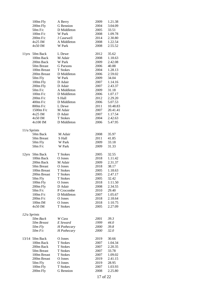|              | 100m Fly              | A Berry          | 2009         | 1.21.38        |
|--------------|-----------------------|------------------|--------------|----------------|
|              | 200m Fly              | G Bennion        | 2004         | 3.04.09        |
|              | $50m$ F/c             | D Middleton      | 2005         | 33.51          |
|              | $100m$ F/c            | W Park           | 2008         | 1.09.78        |
|              | $200m$ F/c            | J Casewell       | 2014         | 2.30.80        |
|              | 4x25 IM               | A Middleton      | 2008         | 1.22.54        |
|              | 4x50 IM               | W Park           | 2008         | 2.55.52        |
| 11yrs        | 50m Back              | L Dewe           | 2012         | 35.62          |
|              | 100m Back             | M Adair          | 2008         | 1.18.63        |
|              | 200m Back             | W Park           | 2009         | 2.42.08        |
|              | 50m Breast            | <b>G</b> Parsons | 2006         | 40.88          |
|              | 100m Breast           | T Stokes         | 2004         | 1.28.13        |
|              | 200m Breast           | D Middleton      | 2006         | 2.59.02        |
|              | 50m Fly               | W Park           | 2009         | 34.04          |
|              | 100m Fly              | D Adair          | 2007         | 1.14.16        |
|              | 200m Fly              | D Adair          | 2007         | 2.43.37        |
|              | $50m$ F/c             | A Middleton      | 2009         | 31.18          |
|              | $100m$ F/c            | D Middleton      | 2006         | 1.07.17        |
|              | 200m F/c              | S Hall           | 2012         | 2.29.20        |
|              | 400m F/c              | D Middleton      | 2006         | 5.07.53        |
|              | 800m F/c              | L Dewe           | 2011         | 10.48.83       |
|              | 1500m F/c             | M Adair          | 2007         | 20.41.41       |
|              | $4x25$ IM             | D Adair          | 2007         | 1.17.54        |
|              | 4x50 IM               | T Stokes         | 2004         | 2.42.63        |
|              | 4x100 IM              | D Middleton      | 2006         | 5.47.95        |
| 11/u Sprints |                       |                  |              |                |
|              | 50m Back              | M Adair          | 2008         | 35.97          |
|              | 50m Breast<br>50m Fly | S Hall<br>W Park | 2011<br>2009 | 41.85<br>33.18 |
|              | $50m$ F/c             | W Park           | 2009         | 31.33          |
| 12yrs        | 50m Back              | T Stokes         | 2005         | 32.55          |
|              | 100m Back             | O Jones          | 2018         | 1.11.42        |
|              | 200m Back             | M Adair          | 2009         | 2.31.37        |
|              | 50m Breast            | O Jones          | 2018         | 38.17          |
|              | 100m Breast           | T Stokes         | 2005         | 1.18.63        |
|              | 200m Breast           | T Stokes         | 2005         | 2.47.17        |
|              | 50m Fly               | T Stokes         | 2005         | 32.42          |
|              | 100m Fly              | O Jones          | 2018         | 1:11.50        |
|              | 200m Fly              | D Adair          | 2008         | 2.34.55        |
|              | $50m$ F/c             | P Crocombe       | 2010         | 29.40          |
|              | 100m F/c              | D Middleton      | 2007         | 1.05.67        |
|              | 200m F/c              | O Jones          | 2018         | 2.18.64        |
|              | 100m IM               | O Jones          | 2018         | 1:10.75        |
|              | 4x50 IM               | T Stokes         | 2005         | 2.27.09        |
| 12/u Sprints |                       |                  |              |                |
|              | 50m Back              | W Cass           | 2001         | 39.3           |
|              | 50m Breast            | E Seward         | 1999         | 44.0           |
|              | $50m$ Fly             | H Pothecary      | <i>2000</i>  | 39.8           |
|              | $50m$ $F/c$           | H Pothecary      | 2000         | 32.0           |
| 13/14        | 50m Back              | O Jones          | 2019         | 30.66          |
|              | 100m Back             | T Stokes         | 2007         | 1.04.34        |
|              | 200m Back             | T Stokes         | 2007         | 2.20.35        |
|              | 50m Breast            | T Stokes         | 2007         | 33.78          |
|              | 100m Breast           | T Stokes         | 2007         | 1.09.02        |
|              | 200m Breast           | O Jones          | 2019         | 2.41.15        |
|              | 50m Fly               | O Jones          | 2019         | 28.95          |
|              | 100m Fly              | T Stokes         | 2007         | 1.03.93        |
|              | 200m Fly              | G Bennion        | 2008         | 2.25.80        |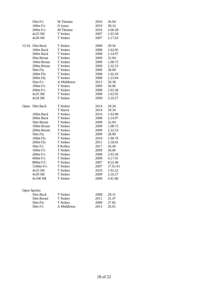|       | $50m$ F/c    | M Thomas    | 2016 | 26.94    |
|-------|--------------|-------------|------|----------|
|       | 100m F/c     | O Jones     | 2019 | 58.16    |
|       | $200m$ F/c   | M Thomas    | 2016 | 2.06.28  |
|       | $4x25$ IM    | T Stokes    | 2007 | 1.03.58  |
|       | 4x50 IM      | T Stokes    | 2007 | 2.17.63  |
| 15/16 | 50m Back     | T Stokes    | 2009 | 29.56    |
|       | 100m Back    | T Stokes    | 2008 | 1.02.85  |
|       | 200m Back    | T Stokes    | 2008 | 2.14.97  |
|       | 50m Breast   | T Stokes    | 2009 | 32.04    |
|       | 100m Breast  | T Stokes    | 2009 | 1.08.72  |
|       | 200m Breast  | T Stokes    | 2009 | 2.32.53  |
|       | 50m Fly      | T Stokes    | 2009 | 28.09    |
|       | 100m Fly     | T Stokes    | 2008 | 1.02.43  |
|       | 200m Fly     | T Stokes    | 2008 | 2.23.04  |
|       | 50m F/c      | A Middleton | 2013 | 26.38    |
|       | $100m$ F/c   | T Stokes    | 2009 | 56.06    |
|       | $200m$ F/c   | T Stokes    | 2008 | 2.03.36  |
|       | $4x25$ IM    | T Stokes    | 2008 | 1.02.92  |
|       | 4x50 IM      | T Stokes    | 2009 | 2.16.57  |
| Open  | 50m Back     | T Stokes    | 2014 | 29.34    |
|       |              | T Harris    | 2014 | 29.34    |
|       | 100m Back    | T Stokes    | 2010 | 1.02.00  |
|       | 200m Back    | T Stokes    | 2008 | 2.14.97  |
|       | 50m Breast   | T Stokes    | 2009 | 32.04    |
|       | 100m Breast  | T Stokes    | 2009 | 1.08.72  |
|       | 200m Breast  | T Stokes    | 2009 | 2.32.53  |
|       | 50m Fly      | T Stokes    | 2009 | 28.09    |
|       | 100m Fly     | T Stokes    | 2010 | 1.00.76  |
|       | 200m Fly     | T Stokes    | 2011 | 2.18.41  |
|       | 50m F/c      | S Roffey    | 2017 | 26.49    |
|       | $100m$ F/c   | T Stokes    | 2009 | 56.06    |
|       | $200m$ F/c   | T Stokes    | 2008 | 2.03.36  |
|       | 400m F/c     | T Stokes    | 2009 | 4.17.91  |
|       | 800m F/C     | T Stokes    | 2007 | 8.52.48  |
|       | 1500m F/c    | T Stokes    | 2007 | 17.01.61 |
|       | 4x25 IM      | T Stokes    | 2010 | 1.02.22  |
|       | 4x50 IM      | T Stokes    | 2009 | 2.16.57  |
|       | 4x100 IM     | T Stokes    | 2009 | 4.41.86  |
|       |              |             |      |          |
|       | Open Sprints |             |      |          |
|       | 50m Back     | T Stokes    | 2008 | 29.31    |
|       | 50m Breast   | T Stokes    | 2011 | 31.47    |
|       | 50m Fly      | T Stokes    | 2009 | 27.82    |
|       | 50m F/c      | A Middleton | 2013 | 26.01    |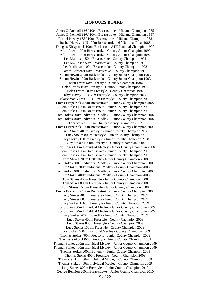#### **HONOURS BOARD**

James O'Donnell 12/U 100m Breaststroke - Midland Champion 1985 James O'Donnell 14/U 100m Breaststroke - Midland Champion 1987 Rachel Newey 16/U 100m Breaststroke - Midland Champion 1988 Rachel Newey 16/U 100m Breaststroke - 6<sup>th</sup> National Final 1988 Douglas Kirkpatrick 100m Backstroke ATC National Champion 1990 Adam Lowe 100m Breaststroke - County Junior Champion 1990 Adam Lowe 100m Breaststroke - County Junior Champion 1992 Lee Mallinson 50m Breaststroke - County Champion 1991 Lee Mallinson 50m Breaststroke - County Champion 1992 Lee Mallinson 100m Breaststroke - County Champion 1992 James Gardener 50m Breaststroke - County Champion 1993 Simon Hewitt 200m Backstroke - County Junior Champion 1993 Simon Hewitt 100m Backstroke - County Junior Champion 1993 Helen Evans 50m Freestyle - County Champion 1996 Helen Evans 100m Freestyle - County Junior Champion 1997 Helen Evans 100m Freestyle - County Champion 1997 Rhys Davey 12/U 50m Freestyle - County Champion 2004 Eloise Van Vuren 12/U 50m Freestyle - County Champion 2006 Emma Fitzpatrick 200m Breaststroke - Junior County Champion 2007 Tom Stokes 100m Breaststroke - Junior County Champion 2007 Tom Stokes 200m Breaststroke - Junior County Champion 2007 Tom Stokes 200m Individual Medley - Junior County Champion 2007 Tom Stokes 400m Individual Medley - Junior County Champion 2007 Tom Stokes 1500m - Junior County Champion 2007 Emma Fitzpatrick 100m Breaststroke - Junior County Champion 2008 Lucy Stokes 400m Freestyle - Junior County Champion 2008 Lucy Stokes 800m Freestyle - Junior County Champion Lucy Stokes 1500m Freestyle - Junior County Champion 2008 Lucy Stokes 1500m Freestyle - County Champion 2008 Lucy Stokes 400m Individual Medley - Junior County Champion 2008 Tom Stokes 100m Breaststroke - Junior County Champion 2008 Tom Stokes 200m Breaststroke - Junior County Champion 2008 Tom Stokes 200m Butterfly - Junior County Champion 2008 Tom Stokes 200m Individual Medley - Junior County Champion 2008 Tom Stokes 200m Individual Medley - County Champion 2008 Tom Stokes 400m Individual Medley - Junior County Champion 2008 Tom Stokes 400m Individual Medley - County Champion 2008 Tom Stokes 400m Freestyle - Junior County Champion 2008 Tom Stokes 800m Freestyle - Junior County Champion 2008 Tom Stokes 1500m Freestyle - Junior County Champion 2008 Emma Fitzpatrick 100m Breaststroke - Junior County Champion 2009 Lucy Stokes 400m Freestyle - Junior County Champion 2009 Lucy Stokes 800m Freestyle - Junior County Champion 2009 Lucy Stokes 1500m Freestyle - Junior County Champion 2009 Lucy Stokes 200m Individual Medley - Junior County Champion 2009 Lucy Stokes 400m Individual Medley - Junior County Champion 2009 Lucy Stokes 200m Butterfly - Junior County Champion 2009 Lucy Stokes 400m Freestyle - County Champion 2009 Lucy Stokes 800m Freestyle - County Champion 2009 Lucy Stokes 1500m Freestyle - County Champion 2009 Lucy Stokes 400m Individual Medley - County Champion 2009 Thomas Stokes 400m Freestyle - Junior County Champion 2009 Thomas Stokes 1500m Freestyle - Junior County Champion 2009 Thomas Stokes 200m Individual Medley - Junior County Champion 2009 Thomas Stokes 400m Individual Medley - Junior County Champion 2009 Thomas Stokes 200m Butterfly - Junior County Champion 2009 Thomas Stokes 400m Freestyle - County Champion 2009 Thomas Stokes 200m Individual Medley - County Champion 2009 Thomas Stokes 400m Individual Medley - County Champion 2009 Lucy Stokes 800m Freestyle – Junior County Champion 2010 George Bennion 200m Breaststroke – Junior County Champion 2010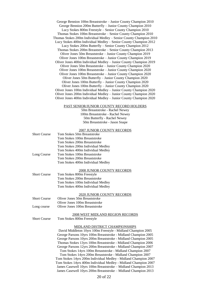George Bennion 100m Breaststroke – Junior County Champion 2010 George Bennion 200m Butterfly – Junior County Champion 2010 Lucy Stokes 800m Freestyle – Senior County Champion 2010 Thomas Stokes 100m Breaststroke – Senior County Champion 2010 Thomas Stokes 200m Individual Medley – Senior County Champion 2010 Lucy Stokes 400m Individual Medley – Senior County Champion 2012 Lucy Stokes 200m Butterfly – Senior County Champion 2012 Thomas Stokes 200m Breaststroke – Senior County Champion 2013 Oliver Jones 50m Breaststroke – Junior County Champion 2019 Oliver Jones 100m Breaststroke – Junior County Champion 2019 Oliver Jones 400m Individual Medley – Junior County Champion 2019 Oliver Jones 50m Breaststroke – Junior County Champion 2020 Oliver Jones 100m Breaststroke – Junior County Champion 2020 Oliver Jones 100m Breaststroke – Junior County Champion 2020 Oliver Jones 50m Butterfly – Junior County Champion 2020 Oliver Jones 100m Butterfly – Junior County Champion 2020 Oliver Jones 100m Butterfly – Junior County Champion 2020 Oliver Jones 100m Individual Medley – Junior County Champion 2020 Oliver Jones 200m Individual Medley – Junior County Champion 2020 Oliver Jones 400m Individual Medley – Junior County Champion 2020

#### PAST SENIOR/JUNIOR COUNTY RECORD HOLDERS

50m Breaststroke - Rachel Newey 100m Breaststroke - Rachel Newey 50m Butterfly - Rachel Newey 50m Breaststroke - Jason Snape

#### 2007 JUNIOR COUNTY RECORDS

| <b>Short Course</b> | Tom Stokes 50m Breaststroke       |
|---------------------|-----------------------------------|
|                     | Tom Stokes 100m Breaststroke      |
|                     | Tom Stokes 200m Breaststroke      |
|                     | Tom Stokes 200m Individual Medley |
|                     | Tom Stokes 400m Individual Medley |
| Long Course         | Tom Stokes 100m Breaststroke      |
|                     | Tom Stokes 200m Breaststroke      |
|                     | Tom Stokes 400m Individual Medley |
|                     |                                   |

#### 2008 JUNIOR COUNTY RECORDS

| <b>Short Course</b> | Tom Stokes 800m Freestyle         |
|---------------------|-----------------------------------|
|                     | Tom Stokes 200m Breaststroke      |
|                     | Tom Stokes 100m Individual Medley |
|                     | Tom Stokes 400m Individual Medley |
|                     |                                   |

#### 2020 JUNIOR COUNTY RECORDS

| <b>Short Course</b> | Oliver Jones 50m Breaststroke  |
|---------------------|--------------------------------|
|                     | Oliver Jones 100m Breaststroke |
| Long course         | Oliver Jones 100m Breaststroke |
|                     |                                |

#### 2008 WEST MIDLAND REGION RECORDS Short Course Tom Stokes 800m Freestyle

#### MIDLAND DISTRICT CHAMPIONSHIPS

David Middleton 10yrs 100m Freestyle - Midland Champion 2005 George Parsons 10yrs 100m Breaststroke - Midland Champion 2005 George Parsons 10yrs 200m Breaststroke - Midland Champion 2005 Thomas Stokes 13yrs 100m Breaststroke - Midland Champion 2006 George Parsons 12yrs 200m Breaststroke - Midland Champion 2007 Tom Stokes 14yrs 100m Breaststroke - Midland Champion 2007 Tom Stokes 14yrs 200m Breaststroke - Midland Champion 2007 Tom Stokes 14yrs 200m Individual Medley - Midland Champion 2007 Tom Stokes 14yrs 400m Individual Medley - Midland Champion 2007 James Casewell 10yrs 100m Breaststroke – Midland Champion 2013 James Casewell 10yrs 200m Breaststroke – Midland Champion 2013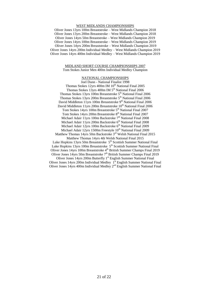#### WEST MIDLANDS CHAMPIONSHIPS

Oliver Jones 13yrs 100m Breaststroke – West Midlands Champion 2018 Oliver Jones 13yrs 200m Breaststroke – West Midlands Champion 2018 Oliver Jones 14yrs 50m Breaststroke – West Midlands Champion 2019 Oliver Jones 14yrs 100m Breaststroke – West Midlands Champion 2019 Oliver Jones 14yrs 200m Breaststroke – West Midlands Champion 2019 Oliver Jones 14yrs 200m Individual Medley – West Midlands Champion 2019 Oliver Jones 14yrs 400m Individual Medley – West Midlands Champion 2019

#### MIDLAND SHORT COURSE CHAMPIONSHIPS 2007 Tom Stokes Junior Men 400m Individual Medley Champion

#### NATIONAL CHAMPIONSHIPS

Joel Dunn - National Finalist 1998 Thomas Stokes 12yrs 400m IM 10<sup>th</sup> National Final 2005 Thomas Stokes 13yrs 400m IM 5<sup>th</sup> National Final 2006 Thomas Stokes 13yrs 100m Breaststroke 5<sup>th</sup> National Final 2006 Thomas Stokes 13yrs 200m Breaststroke 5<sup>th</sup> National Final 2006 David Middleton 11yrs 100m Breaststroke 9<sup>th</sup> National Final 2006 David Middleton 11yrs 200m Breaststroke  $10^{th}$  National Final 2006 Tom Stokes 14yrs 100m Breaststroke 5<sup>th</sup> National Final 2007 Tom Stokes 14yrs 200m Breaststroke 8<sup>th</sup> National Final 2007 Michael Adair 11yrs 100m Backstroke 7<sup>th</sup> National Final 2008 Michael Adair 11yrs 200m Backstroke 6<sup>th</sup> National Final 2008 Michael Adair 12yrs 100m Backstroke 6<sup>th</sup> National Final 2009 Michael Adair 12yrs 1500m Freestyle 10<sup>th</sup> National Final 2009 Matthew Thomas 14yrs 50m Backstroke 3<sup>rd</sup> Welsh National Final 2015 Matthew Thomas 14yrs 4th Welsh National Final 2015

Luke Hopkins 13yrs 50m Breaststroke 5<sup>th</sup> Scottish Summer National Final Luke Hopkins 13yrs 100m Breaststroke 5<sup>th</sup> Scottish Summer National Final Oliver Jones 14yrs 100m Breaststroke 4<sup>th</sup> British Summer Champs Final 2019 Oliver Jones 14yrs 50m Breaststroke  $7<sup>th</sup>$  British Summer Champs Final 2019

Oliver Jones 14yrs 200m Butterfly 1<sup>st</sup> English Summer National Final Oliver Jones 14yrs 200m Individual Medley 1<sup>st</sup> English Summer National Final Oliver Jones 14yrs 400m Individual Medley 2<sup>nd</sup> English Summer National Final